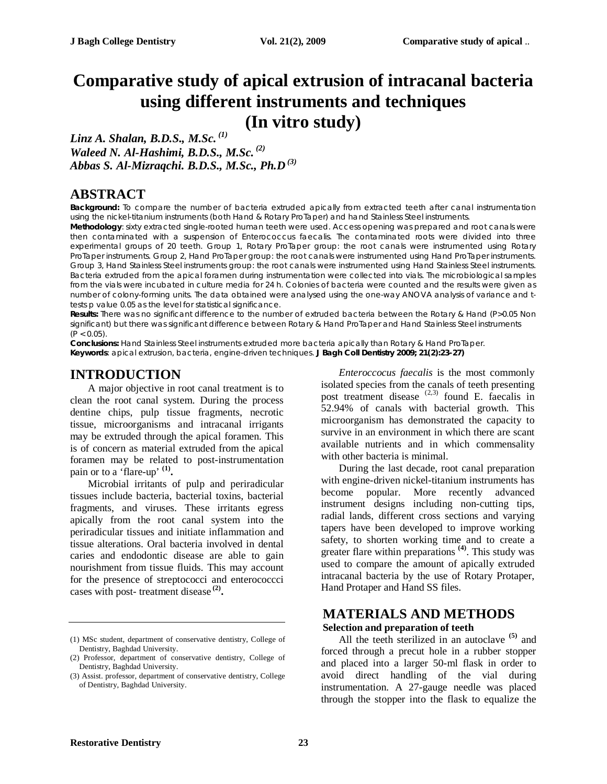## **Comparative study of apical extrusion of intracanal bacteria using different instruments and techniques (In vitro study)**

*Linz A. Shalan, B.D.S., M.Sc. (1) Waleed N. Al-Hashimi, B.D.S., M.Sc. (2) Abbas S. Al-Mizraqchi. B.D.S., M.Sc., Ph.D (3)*

## **ABSTRACT**

**Background:** To compare the number of bacteria extruded apically from extracted teeth after canal instrumentation using the nickel-titanium instruments (both Hand & Rotary ProTaper) and hand Stainless Steel instruments.

**Methodology**: sixty extracted single-rooted human teeth were used. Access opening was prepared and root canals were then contaminated with a suspension of Enterococcus faecalis. The contaminated roots were divided into three experimental groups of 20 teeth. Group 1, Rotary ProTaper group: the root canals were instrumented using Rotary ProTaper instruments. Group 2, Hand ProTaper group: the root canals were instrumented using Hand ProTaper instruments. Group 3, Hand Stainless Steel instruments group: the root canals were instrumented using Hand Stainless Steel instruments. Bacteria extruded from the apical foramen during instrumentation were collected into vials. The microbiological samples from the vials were incubated in culture media for 24 h. Colonies of bacteria were counted and the results were given as number of colony-forming units. The data obtained were analysed using the one-way ANOVA analysis of variance and ttests p value 0.05 as the level for statistical significance.

**Results:** There was no significant difference to the number of extruded bacteria between the Rotary & Hand (P>0.05 Non significant) but there was significant difference between Rotary & Hand ProTaper and Hand Stainless Steel instruments  $(P < 0.05)$ .

**Conclusions:** Hand Stainless Steel instruments extruded more bacteria apically than Rotary & Hand ProTaper. **Keywords**: apical extrusion, bacteria, engine-driven techniques. **J Bagh Coll Dentistry 2009; 21(2):23-27)**

## **INTRODUCTION**

A major objective in root canal treatment is to clean the root canal system. During the process dentine chips, pulp tissue fragments, necrotic tissue, microorganisms and intracanal irrigants may be extruded through the apical foramen. This is of concern as material extruded from the apical foramen may be related to post-instrumentation pain or to a 'flare-up' **(1) .**

Microbial irritants of pulp and periradicular tissues include bacteria, bacterial toxins, bacterial fragments, and viruses. These irritants egress apically from the root canal system into the periradicular tissues and initiate inflammation and tissue alterations. Oral bacteria involved in dental caries and endodontic disease are able to gain nourishment from tissue fluids. This may account for the presence of streptococci and enterococcci cases with post- treatment disease **(2) .** 

*Enteroccocus faecalis* is the most commonly isolated species from the canals of teeth presenting post treatment disease  $(2,3)$  found E. faecalis in 52.94% of canals with bacterial growth. This microorganism has demonstrated the capacity to survive in an environment in which there are scant available nutrients and in which commensality with other bacteria is minimal.

During the last decade, root canal preparation with engine-driven nickel-titanium instruments has become popular. More recently advanced instrument designs including non-cutting tips, radial lands, different cross sections and varying tapers have been developed to improve working safety, to shorten working time and to create a greater flare within preparations **(4)** . This study was used to compare the amount of apically extruded intracanal bacteria by the use of Rotary Protaper, Hand Protaper and Hand SS files.

## **MATERIALS AND METHODS Selection and preparation of teeth**

All the teeth sterilized in an autoclave <sup>(5)</sup> and forced through a precut hole in a rubber stopper and placed into a larger 50-ml flask in order to avoid direct handling of the vial during instrumentation. A 27-gauge needle was placed through the stopper into the flask to equalize the

<sup>(1)</sup> MSc student, department of conservative dentistry, College of Dentistry, Baghdad University.

<sup>(2)</sup> Professor, department of conservative dentistry, College of Dentistry, Baghdad University.

<sup>(3)</sup> Assist. professor, department of conservative dentistry, College of Dentistry, Baghdad University.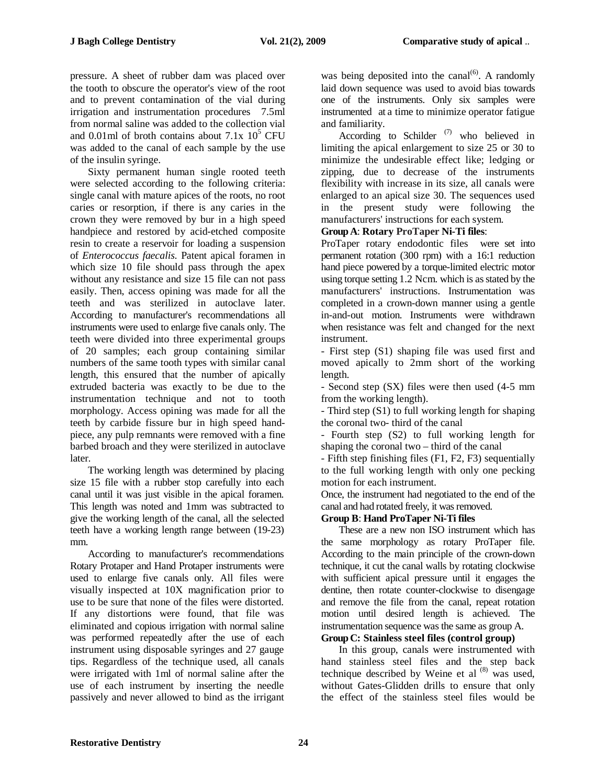pressure. A sheet of rubber dam was placed over the tooth to obscure the operator's view of the root and to prevent contamination of the vial during irrigation and instrumentation procedures 7.5ml from normal saline was added to the collection vial and 0.01ml of broth contains about  $7.1x\;10^5$  CFU was added to the canal of each sample by the use of the insulin syringe.

Sixty permanent human single rooted teeth were selected according to the following criteria: single canal with mature apices of the roots, no root caries or resorption, if there is any caries in the crown they were removed by bur in a high speed handpiece and restored by acid-etched composite resin to create a reservoir for loading a suspension of *Enterococcus faecalis.* Patent apical foramen in which size 10 file should pass through the apex without any resistance and size 15 file can not pass easily. Then, access opining was made for all the teeth and was sterilized in autoclave later. According to manufacturer's recommendations all instruments were used to enlarge five canals only. The teeth were divided into three experimental groups of 20 samples; each group containing similar numbers of the same tooth types with similar canal length, this ensured that the number of apically extruded bacteria was exactly to be due to the instrumentation technique and not to tooth morphology. Access opining was made for all the teeth by carbide fissure bur in high speed handpiece, any pulp remnants were removed with a fine barbed broach and they were sterilized in autoclave later.

The working length was determined by placing size 15 file with a rubber stop carefully into each canal until it was just visible in the apical foramen. This length was noted and 1mm was subtracted to give the working length of the canal, all the selected teeth have a working length range between (19-23) mm.

According to manufacturer's recommendations Rotary Protaper and Hand Protaper instruments were used to enlarge five canals only. All files were visually inspected at 10X magnification prior to use to be sure that none of the files were distorted. If any distortions were found, that file was eliminated and copious irrigation with normal saline was performed repeatedly after the use of each instrument using disposable syringes and 27 gauge tips. Regardless of the technique used, all canals were irrigated with 1ml of normal saline after the use of each instrument by inserting the needle passively and never allowed to bind as the irrigant

was being deposited into the canal $^{(6)}$ . A randomly laid down sequence was used to avoid bias towards one of the instruments. Only six samples were instrumented at a time to minimize operator fatigue and familiarity.

According to Schilder  $(7)$  who believed in limiting the apical enlargement to size 25 or 30 to minimize the undesirable effect like; ledging or zipping, due to decrease of the instruments flexibility with increase in its size, all canals were enlarged to an apical size 30. The sequences used in the present study were following the manufacturers' instructions for each system.

#### **Group A**: **Rotary ProTaper Ni-Ti files**:

ProTaper rotary endodontic files were set into permanent rotation (300 rpm) with a 16:1 reduction hand piece powered by a torque-limited electric motor using torque setting 1.2 Ncm. which is as stated by the manufacturers' instructions. Instrumentation was completed in a crown-down manner using a gentle in-and-out motion. Instruments were withdrawn when resistance was felt and changed for the next instrument.

- First step (S1) shaping file was used first and moved apically to 2mm short of the working length.

- Second step (SX) files were then used (4-5 mm from the working length).

- Third step (S1) to full working length for shaping the coronal two- third of the canal

- Fourth step (S2) to full working length for shaping the coronal two – third of the canal

- Fifth step finishing files (F1, F2, F3) sequentially to the full working length with only one pecking motion for each instrument.

Once, the instrument had negotiated to the end of the canal and had rotated freely, it was removed.

#### **Group B**: **Hand ProTaper Ni-Ti files**

These are a new non ISO instrument which has the same morphology as rotary ProTaper file. According to the main principle of the crown-down technique, it cut the canal walls by rotating clockwise with sufficient apical pressure until it engages the dentine, then rotate counter-clockwise to disengage and remove the file from the canal, repeat rotation motion until desired length is achieved. The instrumentation sequence was the same as group A.

#### **Group C: Stainless steel files (control group)**

In this group, canals were instrumented with hand stainless steel files and the step back technique described by Weine et al  $(8)$  was used, without Gates-Glidden drills to ensure that only the effect of the stainless steel files would be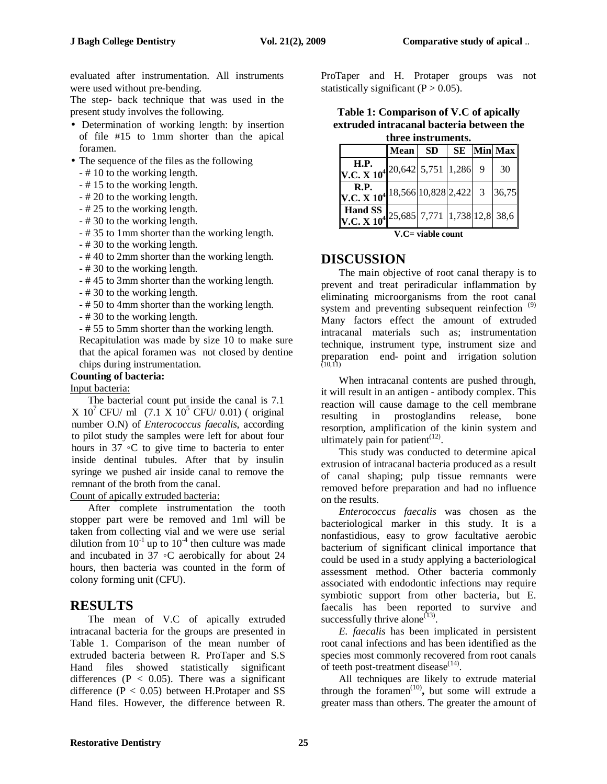evaluated after instrumentation. All instruments were used without pre-bending.

The step- back technique that was used in the present study involves the following.

- Determination of working length: by insertion of file #15 to 1mm shorter than the apical foramen.
- The sequence of the files as the following
	- # 10 to the working length.
	- # 15 to the working length.
	- # 20 to the working length.
	- # 25 to the working length.
	- # 30 to the working length.
	- # 35 to 1mm shorter than the working length.
	- # 30 to the working length.
	- # 40 to 2mm shorter than the working length.
	- # 30 to the working length.
	- # 45 to 3mm shorter than the working length.
	- # 30 to the working length.
	- # 50 to 4mm shorter than the working length.
	- # 30 to the working length.
	- # 55 to 5mm shorter than the working length.
	- Recapitulation was made by size 10 to make sure that the apical foramen was not closed by dentine chips during instrumentation.

#### **Counting of bacteria:**

#### Input bacteria:

The bacterial count put inside the canal is 7.1  $X 10^7$  CFU/ ml (7.1  $X 10^5$  CFU/ 0.01) (original number O.N) of *Enterococcus faecalis*, according to pilot study the samples were left for about four hours in 37 ◦C to give time to bacteria to enter inside dentinal tubules. After that by insulin syringe we pushed air inside canal to remove the remnant of the broth from the canal.

#### Count of apically extruded bacteria:

After complete instrumentation the tooth stopper part were be removed and 1ml will be taken from collecting vial and we were use serial dilution from  $10^{-1}$  up to  $10^{-4}$  then culture was made and incubated in  $37 \text{ °C}$  aerobically for about 24 hours, then bacteria was counted in the form of colony forming unit (CFU).

### **RESULTS**

The mean of V.C of apically extruded intracanal bacteria for the groups are presented in Table 1. Comparison of the mean number of extruded bacteria between R. ProTaper and S.S Hand files showed statistically significant differences ( $P < 0.05$ ). There was a significant difference  $(P < 0.05)$  between H.Protaper and SS Hand files. However, the difference between R.

ProTaper and H. Protaper groups was not statistically significant  $(P > 0.05)$ .

| Table 1: Comparison of V.C of apically   |
|------------------------------------------|
| extruded intracanal bacteria between the |
| three instruments.                       |

| ан се нва ангено.                        |                                          |           |  |  |               |  |
|------------------------------------------|------------------------------------------|-----------|--|--|---------------|--|
|                                          | <b>Mean</b>                              | <b>SD</b> |  |  | $SE$  Min Max |  |
| $V.C. X 10^4$ 20,642 5,751 1,286 9       |                                          |           |  |  | 30            |  |
| R.P.<br>V.C. $X$ $10^4$                  |                                          |           |  |  |               |  |
| <b>Hand SS</b><br>V.C. X 10 <sup>4</sup> | $\parallel$ 25,685 7,771 1,738 12,8 38,6 |           |  |  |               |  |
| V.C= viable count                        |                                          |           |  |  |               |  |

#### **DISCUSSION**

The main objective of root canal therapy is to prevent and treat periradicular inflammation by eliminating microorganisms from the root canal system and preventing subsequent reinfection<sup>(9)</sup> Many factors effect the amount of extruded intracanal materials such as; instrumentation technique, instrument type, instrument size and preparation end- point and irrigation solution (10,11)

When intracanal contents are pushed through, it will result in an antigen - antibody complex. This reaction will cause damage to the cell membrane resulting in prostoglandins release, bone resorption, amplification of the kinin system and ultimately pain for patient<sup> $(12)$ </sup>.

This study was conducted to determine apical extrusion of intracanal bacteria produced as a result of canal shaping; pulp tissue remnants were removed before preparation and had no influence on the results.

*Enterococcus faecalis* was chosen as the bacteriological marker in this study. It is a nonfastidious, easy to grow facultative aerobic bacterium of significant clinical importance that could be used in a study applying a bacteriological assessment method. Other bacteria commonly associated with endodontic infections may require symbiotic support from other bacteria, but E. faecalis has been reported to survive and successfully thrive alone $^{(13)}$ .

*E. faecalis* has been implicated in persistent root canal infections and has been identified as the species most commonly recovered from root canals of teeth post-treatment disease $(14)$ .

All techniques are likely to extrude material through the foramen<sup> $(10)$ </sup>, but some will extrude a greater mass than others. The greater the amount of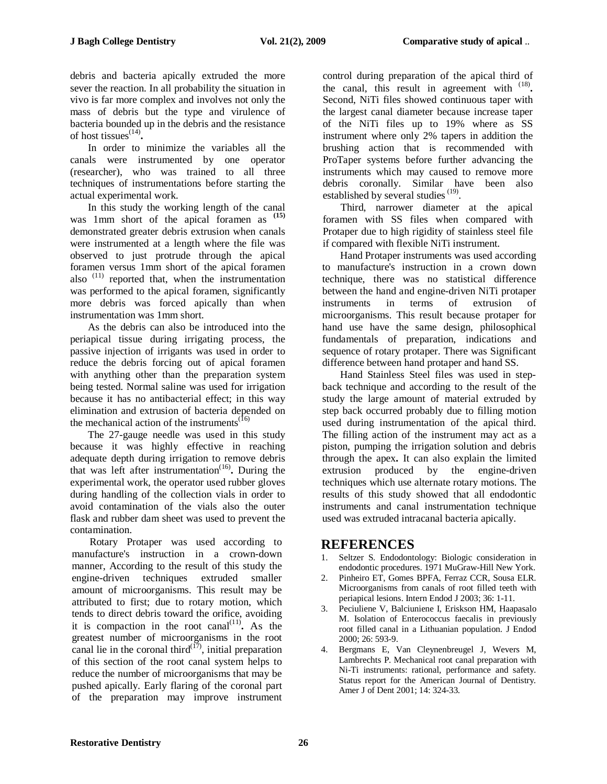debris and bacteria apically extruded the more sever the reaction. In all probability the situation in vivo is far more complex and involves not only the mass of debris but the type and virulence of bacteria bounded up in the debris and the resistance of host tissues (14) **.**

In order to minimize the variables all the canals were instrumented by one operator (researcher), who was trained to all three techniques of instrumentations before starting the actual experimental work.

In this study the working length of the canal was 1mm short of the apical foramen as **(15)** demonstrated greater debris extrusion when canals were instrumented at a length where the file was observed to just protrude through the apical foramen versus 1mm short of the apical foramen also  $(11)$  reported that, when the instrumentation was performed to the apical foramen, significantly more debris was forced apically than when instrumentation was 1mm short.

As the debris can also be introduced into the periapical tissue during irrigating process, the passive injection of irrigants was used in order to reduce the debris forcing out of apical foramen with anything other than the preparation system being tested. Normal saline was used for irrigation because it has no antibacterial effect; in this way elimination and extrusion of bacteria depended on the mechanical action of the instruments<sup> $(16)$ </sup>

The 27-gauge needle was used in this study because it was highly effective in reaching adequate depth during irrigation to remove debris that was left after instrumentation (16) **.** During the experimental work, the operator used rubber gloves during handling of the collection vials in order to avoid contamination of the vials also the outer flask and rubber dam sheet was used to prevent the contamination.

Rotary Protaper was used according to manufacture's instruction in a crown-down manner, According to the result of this study the engine-driven techniques extruded smaller amount of microorganisms. This result may be attributed to first; due to rotary motion, which tends to direct debris toward the orifice, avoiding it is compaction in the root canal<sup> $(11)$ </sup>. As the greatest number of microorganisms in the root canal lie in the coronal third $\binom{17}{7}$ , initial preparation of this section of the root canal system helps to reduce the number of microorganisms that may be pushed apically. Early flaring of the coronal part of the preparation may improve instrument

control during preparation of the apical third of the canal, this result in agreement with <sup>(18)</sup>. Second, NiTi files showed continuous taper with the largest canal diameter because increase taper of the NiTi files up to 19% where as SS instrument where only 2% tapers in addition the brushing action that is recommended with ProTaper systems before further advancing the instruments which may caused to remove more debris coronally. Similar have been also established by several studies<sup>(19)</sup>.

Third, narrower diameter at the apical foramen with SS files when compared with Protaper due to high rigidity of stainless steel file if compared with flexible NiTi instrument.

Hand Protaper instruments was used according to manufacture's instruction in a crown down technique, there was no statistical difference between the hand and engine-driven NiTi protaper instruments in terms of extrusion of microorganisms. This result because protaper for hand use have the same design, philosophical fundamentals of preparation, indications and sequence of rotary protaper. There was Significant difference between hand protaper and hand SS.

Hand Stainless Steel files was used in stepback technique and according to the result of the study the large amount of material extruded by step back occurred probably due to filling motion used during instrumentation of the apical third. The filling action of the instrument may act as a piston, pumping the irrigation solution and debris through the apex**.** It can also explain the limited extrusion produced by the engine-driven techniques which use alternate rotary motions. The results of this study showed that all endodontic instruments and canal instrumentation technique used was extruded intracanal bacteria apically.

# **REFERENCES**<br>1. Seltzer S. Endodont

- Seltzer S. Endodontology: Biologic consideration in endodontic procedures. 1971 MuGraw-Hill New York.
- 2. Pinheiro ET, Gomes BPFA, Ferraz CCR, Sousa ELR. Microorganisms from canals of root filled teeth with periapical lesions. Intern Endod J 2003; 36: 1-11.
- 3. Peciuliene V, Balciuniene I, Eriskson HM, Haapasalo M. Isolation of Enterococcus faecalis in previously root filled canal in a Lithuanian population. J Endod 2000; 26: 593-9.
- 4. Bergmans E, Van Cleynenbreugel J, Wevers M, Lambrechts P. Mechanical root canal preparation with Ni-Ti instruments: rational, performance and safety. Status report for the American Journal of Dentistry. Amer J of Dent 2001; 14: 324-33.